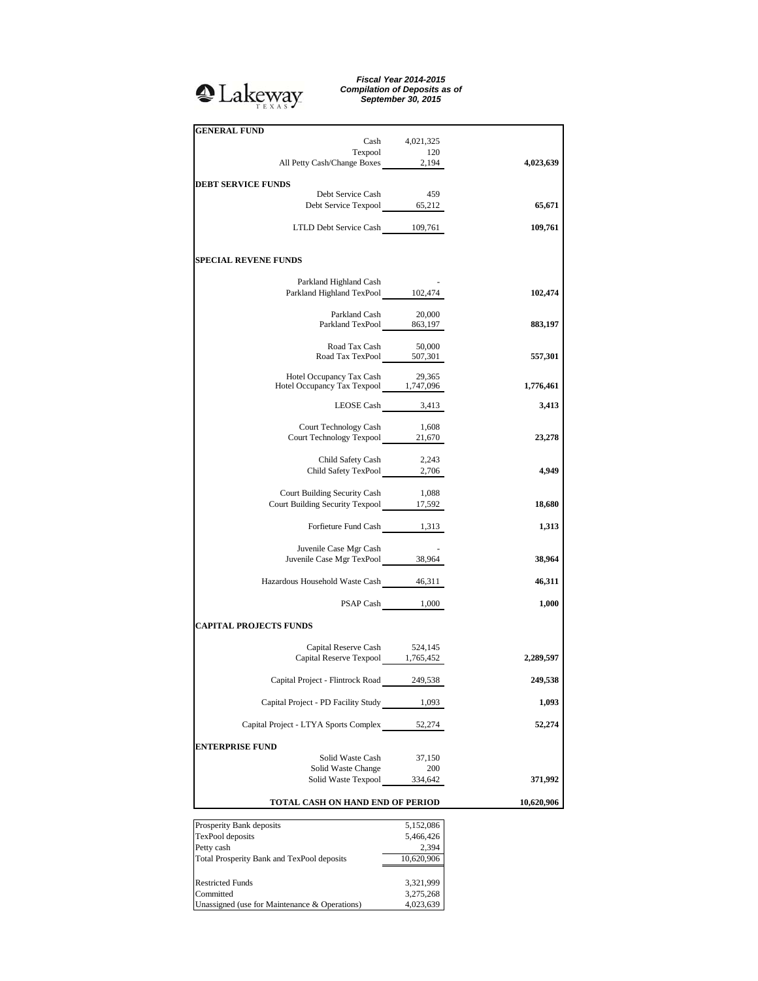

*Fiscal Year 2014-2015 Compilation of Deposits as of September 30, 2015*

| <b>GENERAL FUND</b>                                                      |                    |            |
|--------------------------------------------------------------------------|--------------------|------------|
|                                                                          | Cash 4,021,325     |            |
| Texpool<br>120<br>All Petty Cash/Change Boxes 2,194                      | 120                | 4,023,639  |
|                                                                          |                    |            |
| <b>DEBT SERVICE FUNDS</b>                                                |                    |            |
| Debt Service Cash                                                        | 459                |            |
| Debt Service Texpool 65,212                                              |                    | 65,671     |
| LTLD Debt Service Cash 109,761                                           |                    | 109,761    |
|                                                                          |                    |            |
| <b>SPECIAL REVENE FUNDS</b>                                              |                    |            |
|                                                                          |                    |            |
| Parkland Highland Cash<br>Parkland Highland TexPool 102,474              |                    | 102,474    |
|                                                                          |                    |            |
|                                                                          |                    |            |
| Parkland Cash 20,000<br>Parkland TexPool 863,197                         |                    | 883,197    |
|                                                                          |                    |            |
| Road Tax Cash 50,000<br>Road Tax TexPool 507,301                         |                    | 557,301    |
|                                                                          |                    |            |
| Hotel Occupancy Tax Cash 29,365<br>Hotel Occupancy Tax Texpool 1,747,096 |                    |            |
|                                                                          |                    | 1,776,461  |
| LEOSE Cash 3,413                                                         |                    | 3,413      |
|                                                                          |                    |            |
| Court Technology Cash                                                    | 1,608              |            |
| Court Technology Texpool 21,670                                          |                    | 23,278     |
| Child Safety Cash 2,243                                                  |                    |            |
| Child Safety TexPool 2,706                                               |                    | 4,949      |
|                                                                          |                    |            |
| Court Building Security Cash                                             | 1,088              |            |
| Court Building Security Texpool 17,592                                   |                    | 18,680     |
|                                                                          |                    |            |
| Forfieture Fund Cash 1,313                                               |                    | 1,313      |
| Juvenile Case Mgr Cash                                                   |                    |            |
| Juvenile Case Mgr TexPool 38,964                                         |                    | 38,964     |
|                                                                          |                    |            |
| Hazardous Household Waste Cash 46,311                                    |                    | 46,311     |
|                                                                          | PSAP Cash 1,000    | 1,000      |
|                                                                          |                    |            |
| <b>CAPITAL PROJECTS FUNDS</b>                                            |                    |            |
| Capital Reserve Cash 524,145                                             |                    |            |
| Capital Reserve Texpool 1,765,452                                        |                    | 2,289,597  |
|                                                                          |                    |            |
| Capital Project - Flintrock Road                                         | 249,538            | 249,538    |
| Capital Project - PD Facility Study 1,093                                |                    | 1,093      |
|                                                                          |                    |            |
| Capital Project - LTYA Sports Complex                                    | 52,274             | 52,274     |
|                                                                          |                    |            |
| <b>ENTERPRISE FUND</b>                                                   |                    |            |
| Solid Waste Cash<br>Solid Waste Change                                   | 37,150<br>200      |            |
| Solid Waste Texpool                                                      | 334,642            | 371,992    |
|                                                                          |                    |            |
| TOTAL CASH ON HAND END OF PERIOD                                         |                    | 10,620,906 |
|                                                                          |                    |            |
| Prosperity Bank deposits<br>TexPool deposits                             | 5,152,086          |            |
| Petty cash                                                               | 5,466,426<br>2,394 |            |
| Total Prosperity Bank and TexPool deposits                               | 10,620,906         |            |
|                                                                          |                    |            |
| <b>Restricted Funds</b>                                                  | 3,321,999          |            |
| Committed                                                                | 3,275,268          |            |
| Unassigned (use for Maintenance & Operations)                            | 4,023,639          |            |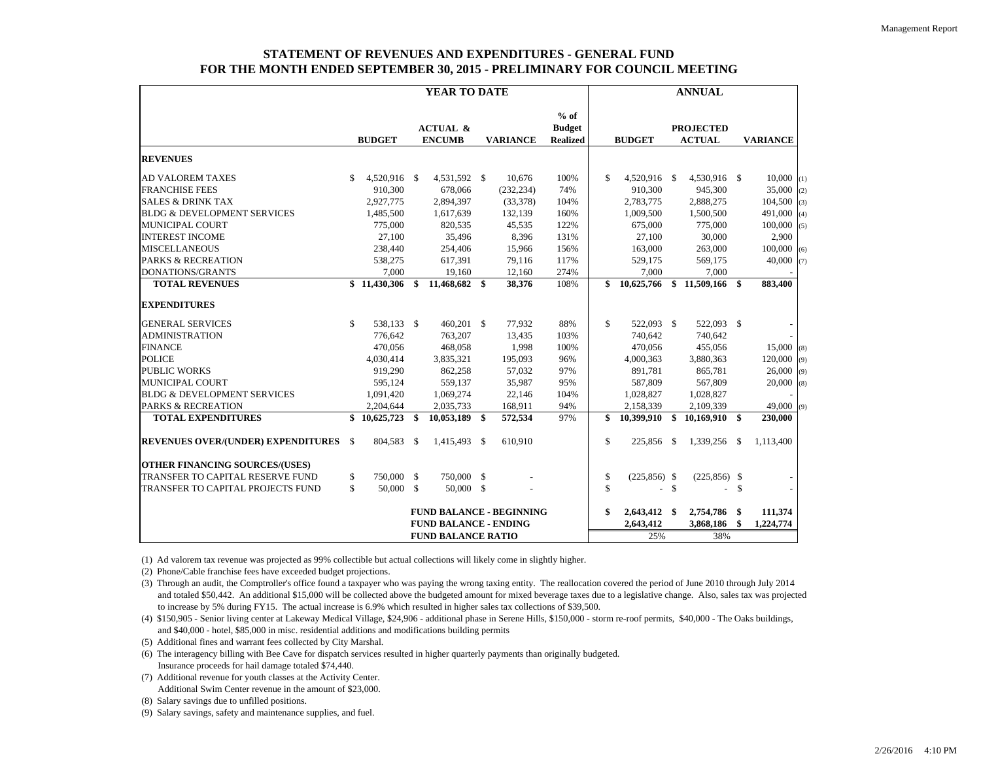## **STATEMENT OF REVENUES AND EXPENDITURES - GENERAL FUNDFOR THE MONTH ENDED SEPTEMBER 30, 2015 - PRELIMINARY FOR COUNCIL MEETING**

|                                                                 | YEAR TO DATE |               |                    |                                      |  | <b>ANNUAL</b>   |                                            |               |                 |                    |                                   |     |                 |
|-----------------------------------------------------------------|--------------|---------------|--------------------|--------------------------------------|--|-----------------|--------------------------------------------|---------------|-----------------|--------------------|-----------------------------------|-----|-----------------|
|                                                                 |              | <b>BUDGET</b> |                    | <b>ACTUAL &amp;</b><br><b>ENCUMB</b> |  | <b>VARIANCE</b> | $%$ of<br><b>Budget</b><br><b>Realized</b> |               | <b>BUDGET</b>   |                    | <b>PROJECTED</b><br><b>ACTUAL</b> |     | <b>VARIANCE</b> |
| <b>REVENUES</b>                                                 |              |               |                    |                                      |  |                 |                                            |               |                 |                    |                                   |     |                 |
| <b>AD VALOREM TAXES</b>                                         | \$           | 4,520,916 \$  |                    | 4,531,592 \$                         |  | 10,676          | 100%                                       | \$            | 4,520,916 \$    |                    | 4,530,916 \$                      |     | $10,000$ (1)    |
| <b>FRANCHISE FEES</b>                                           |              | 910,300       |                    | 678,066                              |  | (232, 234)      | 74%                                        |               | 910,300         |                    | 945,300                           |     | 35,000<br>(2)   |
| <b>SALES &amp; DRINK TAX</b>                                    |              | 2,927,775     |                    | 2,894,397                            |  | (33, 378)       | 104%                                       |               | 2,783,775       |                    | 2,888,275                         |     | 104,500<br>(3)  |
| <b>BLDG &amp; DEVELOPMENT SERVICES</b>                          |              | 1,485,500     |                    | 1,617,639                            |  | 132,139         | 160%                                       |               | 1,009,500       |                    | 1,500,500                         |     | 491,000<br>(4)  |
| <b>MUNICIPAL COURT</b>                                          |              | 775,000       |                    | 820,535                              |  | 45,535          | 122%                                       |               | 675,000         |                    | 775,000                           |     | 100,000<br>(5)  |
| <b>INTEREST INCOME</b>                                          |              | 27,100        |                    | 35,496                               |  | 8,396           | 131%                                       |               | 27,100          |                    | 30,000                            |     | 2,900           |
| <b>MISCELLANEOUS</b>                                            |              | 238,440       |                    | 254,406                              |  | 15,966          | 156%                                       |               | 163,000         |                    | 263,000                           |     | 100,000<br>(6)  |
| <b>PARKS &amp; RECREATION</b>                                   |              | 538,275       |                    | 617,391                              |  | 79,116          | 117%                                       |               | 529,175         |                    | 569,175                           |     | 40,000<br>(7)   |
| DONATIONS/GRANTS                                                |              | 7,000         |                    | 19,160                               |  | 12,160          | 274%                                       |               | 7,000           |                    | 7,000                             |     |                 |
| <b>TOTAL REVENUES</b>                                           |              | \$11,430,306  | \$                 | $\overline{11,}468,682$ \$           |  | 38,376          | 108%                                       | \$            | 10,625,766      | \$                 | 11.509.166                        | S.  | 883,400         |
| <b>EXPENDITURES</b>                                             |              |               |                    |                                      |  |                 |                                            |               |                 |                    |                                   |     |                 |
| <b>GENERAL SERVICES</b>                                         | \$           | 538,133 \$    |                    | 460,201 \$                           |  | 77,932          | 88%                                        | \$            | 522,093 \$      |                    | 522,093 \$                        |     |                 |
| <b>ADMINISTRATION</b>                                           |              | 776,642       |                    | 763,207                              |  | 13,435          | 103%                                       |               | 740,642         |                    | 740,642                           |     |                 |
| <b>FINANCE</b>                                                  |              | 470,056       |                    | 468,058                              |  | 1,998           | 100%                                       |               | 470,056         |                    | 455,056                           |     | $15,000$ (8)    |
| <b>POLICE</b>                                                   |              | 4,030,414     |                    | 3,835,321                            |  | 195,093         | 96%                                        |               | 4,000,363       |                    | 3,880,363                         |     | 120,000<br>(9)  |
| <b>PUBLIC WORKS</b>                                             |              | 919,290       |                    | 862,258                              |  | 57,032          | 97%                                        |               | 891,781         |                    | 865,781                           |     | 26,000<br>(9)   |
| <b>MUNICIPAL COURT</b>                                          |              | 595,124       |                    | 559,137                              |  | 35,987          | 95%                                        |               | 587,809         |                    | 567,809                           |     | 20,000<br>(8)   |
| <b>BLDG &amp; DEVELOPMENT SERVICES</b>                          |              | 1,091,420     |                    | 1,069,274                            |  | 22,146          | 104%                                       |               | 1,028,827       |                    | 1,028,827                         |     |                 |
| <b>PARKS &amp; RECREATION</b>                                   |              | 2,204,644     |                    | 2,035,733                            |  | 168,911         | 94%                                        |               | 2,158,339       |                    | 2,109,339                         |     | 49,000<br>(9)   |
| <b>TOTAL EXPENDITURES</b>                                       |              | \$10,625,723  | \$                 | 10,053,189 \$                        |  | 572,534         | 97%                                        | \$            | 10,399,910      | -S                 | 10,169,910                        | S.  | 230,000         |
| <b>REVENUES OVER/(UNDER) EXPENDITURES \$</b>                    |              | 804,583       | \$                 | 1,415,493 \$                         |  | 610,910         |                                            | \$            | 225,856 \$      |                    | 1,339,256                         | -\$ | 1,113,400       |
| <b>OTHER FINANCING SOURCES/(USES)</b>                           |              |               |                    |                                      |  |                 |                                            |               |                 |                    |                                   |     |                 |
| <b>TRANSFER TO CAPITAL RESERVE FUND</b>                         | \$           | 750,000       | -S                 | 750,000 \$                           |  |                 |                                            | \$            | $(225, 856)$ \$ |                    | $(225, 856)$ \$                   |     |                 |
| TRANSFER TO CAPITAL PROJECTS FUND                               | \$           | 50,000        | $\mathbf{\hat{s}}$ | 50,000 \$                            |  |                 |                                            | $\mathsf{\$}$ | ÷.              | $\mathbf{\hat{S}}$ | $\overline{a}$                    | \$  |                 |
| <b>FUND BALANCE - BEGINNING</b><br><b>FUND BALANCE - ENDING</b> |              |               |                    |                                      |  |                 |                                            | \$            | 2,643,412 \$    |                    | 2,754,786                         | \$  | 111,374         |
|                                                                 |              |               |                    |                                      |  |                 |                                            |               | 2,643,412       |                    | 3,868,186                         | \$  | 1,224,774       |
| <b>FUND BALANCE RATIO</b>                                       |              |               |                    |                                      |  |                 |                                            | 25%           |                 | 38%                |                                   |     |                 |

(1) Ad valorem tax revenue was projected as 99% collectible but actual collections will likely come in slightly higher.

(2) Phone/Cable franchise fees have exceeded budget projections.

(3) Through an audit, the Comptroller's office found a taxpayer who was paying the wrong taxing entity. The reallocation covered the period of June 2010 through July 2014 and totaled \$50,442. An additional \$15,000 will be collected above the budgeted amount for mixed beverage taxes due to a legislative change. Also, sales tax was projected to increase by 5% during FY15. The actual increase is 6.9% which resulted in higher sales tax collections of \$39,500.

(4) \$150,905 - Senior living center at Lakeway Medical Village, \$24,906 - additional phase in Serene Hills, \$150,000 - storm re-roof permits, \$40,000 - The Oaks buildings, and \$40,000 - hotel, \$85,000 in misc. residential additions and modifications building permits

(5) Additional fines and warrant fees collected by City Marshal.

(6) The interagency billing with Bee Cave for dispatch services resulted in higher quarterly payments than originally budgeted. Insurance proceeds for hail damage totaled \$74,440.

(7) Additional revenue for youth classes at the Activity Center. Additional Swim Center revenue in the amount of \$23,000.

(8) Salary savings due to unfilled positions.

(9) Salary savings, safety and maintenance supplies, and fuel.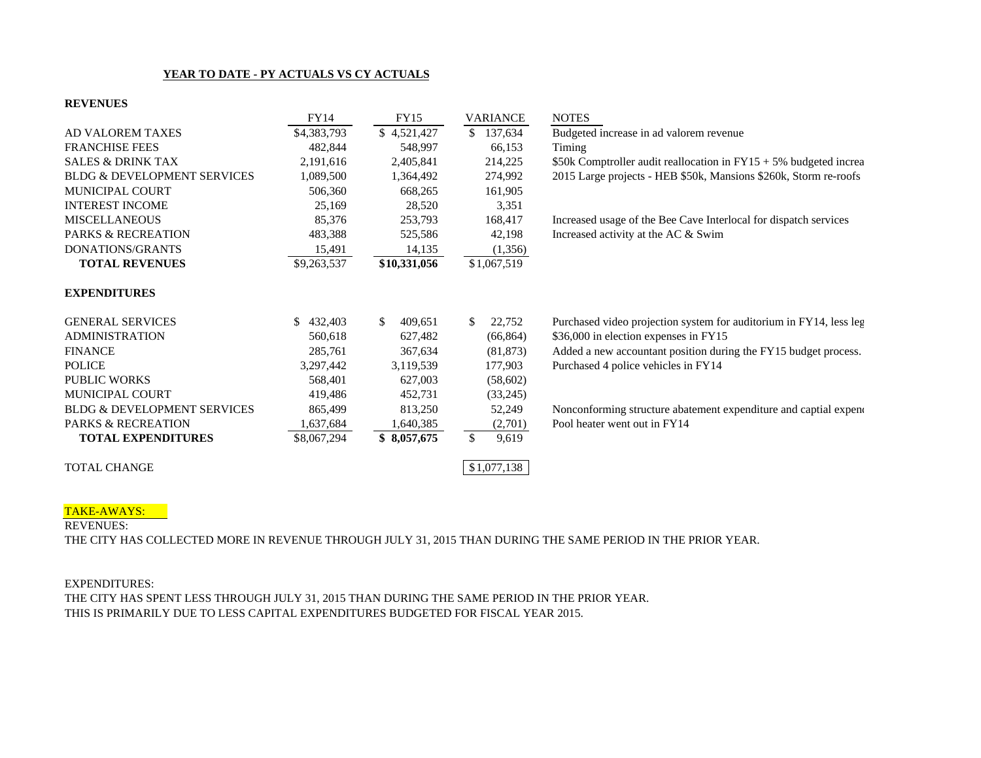# **YEAR TO DATE - PY ACTUALS VS CY ACTUALS**

### **REVENUES**

|                                        | FY14           | FY15                     | <b>VARIANCE</b> | <b>NOTES</b>                                                          |
|----------------------------------------|----------------|--------------------------|-----------------|-----------------------------------------------------------------------|
| AD VALOREM TAXES                       | \$4,383,793    | \$4,521,427              | \$137,634       | Budgeted increase in ad valorem revenue                               |
| <b>FRANCHISE FEES</b>                  | 482,844        | 548,997                  | 66,153          | Timing                                                                |
| <b>SALES &amp; DRINK TAX</b>           | 2,191,616      | 2,405,841                | 214,225         | \$50k Comptroller audit reallocation in $FY15 + 5\%$ budgeted increa  |
| <b>BLDG &amp; DEVELOPMENT SERVICES</b> | 1,089,500      | 1,364,492                | 274,992         | 2015 Large projects - HEB \$50k, Mansions \$260k, Storm re-roofs      |
| <b>MUNICIPAL COURT</b>                 | 506,360        | 668,265                  | 161,905         |                                                                       |
| <b>INTEREST INCOME</b>                 | 25,169         | 28,520                   | 3,351           |                                                                       |
| <b>MISCELLANEOUS</b>                   | 85,376         | 253,793                  | 168,417         | Increased usage of the Bee Cave Interlocal for dispatch services      |
| PARKS & RECREATION                     | 483,388        | 525,586                  | 42,198          | Increased activity at the AC & Swim                                   |
| DONATIONS/GRANTS                       | 15,491         | 14,135                   | (1,356)         |                                                                       |
| <b>TOTAL REVENUES</b>                  | \$9,263,537    | \$10,331,056             | \$1,067,519     |                                                                       |
| <b>EXPENDITURES</b>                    |                |                          |                 |                                                                       |
| <b>GENERAL SERVICES</b>                | 432,403<br>\$. | <sup>\$</sup><br>409,651 | 22,752<br>S.    | Purchased video projection system for auditorium in FY14, less leg    |
| <b>ADMINISTRATION</b>                  | 560,618        | 627,482                  | (66, 864)       | \$36,000 in election expenses in FY15                                 |
| <b>FINANCE</b>                         | 285,761        | 367,634                  | (81, 873)       | Added a new accountant position during the FY15 budget process.       |
| <b>POLICE</b>                          | 3,297,442      | 3,119,539                | 177,903         | Purchased 4 police vehicles in FY14                                   |
| <b>PUBLIC WORKS</b>                    | 568,401        | 627,003                  | (58,602)        |                                                                       |
| <b>MUNICIPAL COURT</b>                 | 419,486        | 452,731                  | (33,245)        |                                                                       |
| <b>BLDG &amp; DEVELOPMENT SERVICES</b> | 865,499        | 813,250                  | 52,249          | Nonconforming structure abatement expenditure and captial expendition |
| <b>PARKS &amp; RECREATION</b>          | 1,637,684      | 1,640,385                | (2,701)         | Pool heater went out in FY14                                          |
| <b>TOTAL EXPENDITURES</b>              | \$8,067,294    | \$8,057,675              | \$<br>9,619     |                                                                       |
| <b>TOTAL CHANGE</b>                    |                |                          | \$1,077,138     |                                                                       |

#### TAKE-AWAYS:

REVENUES:

THE CITY HAS COLLECTED MORE IN REVENUE THROUGH JULY 31, 2015 THAN DURING THE SAME PERIOD IN THE PRIOR YEAR.

#### EXPENDITURES:

THE CITY HAS SPENT LESS THROUGH JULY 31, 2015 THAN DURING THE SAME PERIOD IN THE PRIOR YEAR. THIS IS PRIMARILY DUE TO LESS CAPITAL EXPENDITURES BUDGETED FOR FISCAL YEAR 2015.